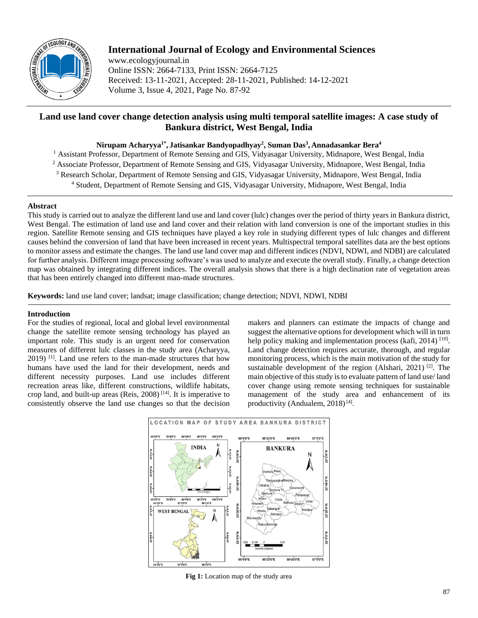

# **International Journal of Ecology and Environmental Sciences**

www.ecologyjournal.in Online ISSN: 2664-7133, Print ISSN: 2664-7125 Received: 13-11-2021, Accepted: 28-11-2021, Published: 14-12-2021 Volume 3, Issue 4, 2021, Page No. 87-92

## **Land use land cover change detection analysis using multi temporal satellite images: A case study of Bankura district, West Bengal, India**

### **Nirupam Acharyya1\* , Jatisankar Bandyopadhyay<sup>2</sup> , Suman Das<sup>3</sup> , Annadasankar Bera<sup>4</sup>**

- <sup>1</sup> Assistant Professor, Department of Remote Sensing and GIS, Vidyasagar University, Midnapore, West Bengal, India
- <sup>2</sup> Associate Professor, Department of Remote Sensing and GIS, Vidyasagar University, Midnapore, West Bengal, India
- <sup>3</sup> Research Scholar, Department of Remote Sensing and GIS, Vidyasagar University, Midnapore, West Bengal, India
	- <sup>4</sup> Student, Department of Remote Sensing and GIS, Vidyasagar University, Midnapore, West Bengal, India

### **Abstract**

This study is carried out to analyze the different land use and land cover (lulc) changes over the period of thirty years in Bankura district, West Bengal. The estimation of land use and land cover and their relation with land conversion is one of the important studies in this region. Satellite Remote sensing and GIS techniques have played a key role in studying different types of lulc changes and different causes behind the conversion of land that have been increased in recent years. Multispectral temporal satellites data are the best options to monitor assess and estimate the changes. The land use land cover map and different indices (NDVI, NDWI, and NDBI) are calculated for further analysis. Different image processing software's was used to analyze and execute the overall study. Finally, a change detection map was obtained by integrating different indices. The overall analysis shows that there is a high declination rate of vegetation areas that has been entirely changed into different man-made structures.

**Keywords:** land use land cover; landsat; image classification; change detection; NDVI, NDWI, NDBI

### **Introduction**

For the studies of regional, local and global level environmental change the satellite remote sensing technology has played an important role. This study is an urgent need for conservation measures of different lulc classes in the study area (Acharyya,  $2019$ )<sup>[1]</sup>. Land use refers to the man-made structures that how humans have used the land for their development, needs and different necessity purposes. Land use includes different recreation areas like, different constructions, wildlife habitats, crop land, and built-up areas (Reis,  $2008$ )<sup>[14]</sup>. It is imperative to consistently observe the land use changes so that the decision

makers and planners can estimate the impacts of change and suggest the alternative options for development which will in turn help policy making and implementation process (kafi, 2014)<sup>[10]</sup>. Land change detection requires accurate, thorough, and regular monitoring process, which is the main motivation of the study for sustainable development of the region (Alshari, 2021)<sup>[2]</sup>. The main objective of this study is to evaluate pattern of land use/ land cover change using remote sensing techniques for sustainable management of the study area and enhancement of its productivity (Andualem, 2018)<sup>[4]</sup>.



**Fig 1:** Location map of the study area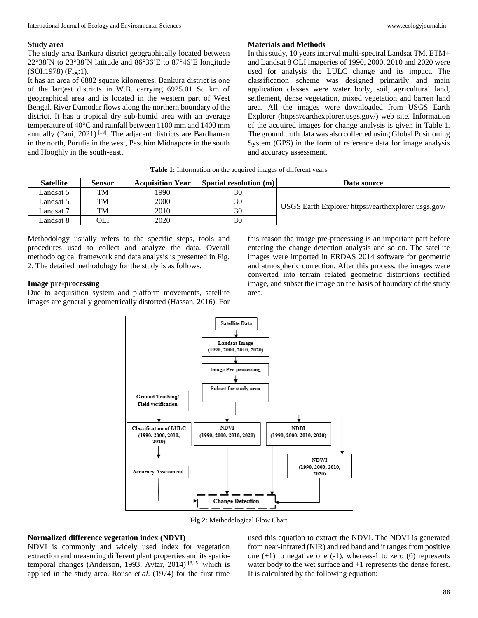### **Study area**

The study area Bankura district geographically located between 22°38´N to 23°38´N latitude and 86°36´E to 87°46´E longitude (SOI.1978) (Fig:1).

It has an area of 6882 square kilometres. Bankura district is one of the largest districts in W.B. carrying 6925.01 Sq km of geographical area and is located in the western part of West Bengal. River Damodar flows along the northern boundary of the district. It has a tropical dry sub-humid area with an average temperature of 40°C and rainfall between 1100 mm and 1400 mm annually (Pani,  $2021$ )<sup>[13]</sup>. The adjacent districts are Bardhaman in the north, Purulia in the west, Paschim Midnapore in the south and Hooghly in the south-east.

#### **Materials and Methods**

In this study, 10 years interval multi-spectral Landsat TM, ETM+ and Landsat 8 OLI imageries of 1990, 2000, 2010 and 2020 were used for analysis the LULC change and its impact. The classification scheme was designed primarily and main application classes were water body, soil, agricultural land, settlement, dense vegetation, mixed vegetation and barren land area. All the images were downloaded from USGS Earth Explorer (https://earthexplorer.usgs.gov/) web site. Information of the acquired images for change analysis is given in Table 1. The ground truth data was also collected using Global Positioning System (GPS) in the form of reference data for image analysis and accuracy assessment.

| <b>Satellite</b> | Sensor | <b>Acquisition Year</b> | Spatial resolution (m) | Data source                                         |  |  |
|------------------|--------|-------------------------|------------------------|-----------------------------------------------------|--|--|
| Landsat 5        | TM     | 1990                    | 30                     |                                                     |  |  |
| Landsat 5        | TM     | 2000                    | 30                     |                                                     |  |  |
| Landsat 7        | TM     | 2010                    | 30                     | USGS Earth Explorer https://earthexplorer.usgs.gov/ |  |  |
| Landsat 8        | OЫ     | 2020                    | 30                     |                                                     |  |  |

**Table 1:** Information on the acquired images of different years

Methodology usually refers to the specific steps, tools and procedures used to collect and analyze the data. Overall methodological framework and data analysis is presented in Fig. 2. The detailed methodology for the study is as follows.

### **Image pre-processing**

Due to acquisition system and platform movements, satellite images are generally geometrically distorted (Hassan, 2016). For

this reason the image pre-processing is an important part before entering the change detection analysis and so on. The satellite images were imported in ERDAS 2014 software for geometric and atmospheric correction. After this process, the images were converted into terrain related geometric distortions rectified image, and subset the image on the basis of boundary of the study area.



**Fig 2:** Methodological Flow Chart

### **Normalized difference vegetation index (NDVI)**

NDVI is commonly and widely used index for vegetation extraction and measuring different plant properties and its spatiotemporal changes (Anderson, 1993, Avtar, 2014)<sup>[3, 5]</sup> which is applied in the study area. Rouse *et al*. (1974) for the first time

used this equation to extract the NDVI. The NDVI is generated from near-infrared (NIR) and red band and it ranges from positive one  $(+1)$  to negative one  $(-1)$ , whereas-1 to zero  $(0)$  represents water body to the wet surface and +1 represents the dense forest. It is calculated by the following equation: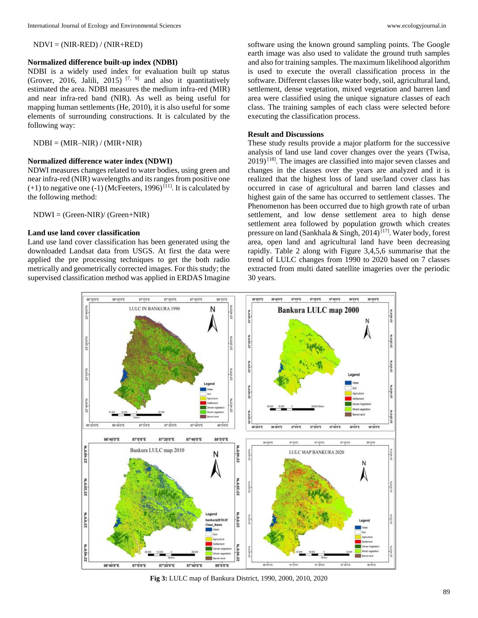$NDVI = (NIR-RED) / (NIR+RED)$ 

#### **Normalized difference built-up index (NDBI)**

NDBI is a widely used index for evaluation built up status (Grover, 2016, Jalili, 2015)<sup>[7, 9]</sup> and also it quantitatively estimated the area. NDBI measures the medium infra-red (MIR) and near infra-red band (NIR). As well as being useful for mapping human settlements (He, 2010), it is also useful for some elements of surrounding constructions. It is calculated by the following way:

 $NDBI = (MIR-NIR) / (MIR+NIR)$ 

#### **Normalized difference water index (NDWI)**

NDWI measures changes related to water bodies, using green and near infra-red (NIR) wavelengths and its ranges from positive one  $(+1)$  to negative one  $(-1)$  (McFeeters, 1996)<sup>[11]</sup>. It is calculated by the following method:

NDWI = (Green-NIR)/ (Green+NIR)

### **Land use land cover classification**

Land use land cover classification has been generated using the downloaded Landsat data from USGS. At first the data were applied the pre processing techniques to get the both radio metrically and geometrically corrected images. For this study; the supervised classification method was applied in ERDAS Imagine

software using the known ground sampling points. The Google earth image was also used to validate the ground truth samples and also for training samples. The maximum likelihood algorithm is used to execute the overall classification process in the software. Different classes like water body, soil, agricultural land, settlement, dense vegetation, mixed vegetation and barren land area were classified using the unique signature classes of each class. The training samples of each class were selected before executing the classification process.

#### **Result and Discussions**

These study results provide a major platform for the successive analysis of land use land cover changes over the years (Twisa,  $2019$ <sup>[18]</sup>. The images are classified into major seven classes and changes in the classes over the years are analyzed and it is realized that the highest loss of land use/land cover class has occurred in case of agricultural and barren land classes and highest gain of the same has occurred to settlement classes. The Phenomenon has been occurred due to high growth rate of urban settlement, and low dense settlement area to high dense settlement area followed by population growth which creates pressure on land (Sankhala & Singh,  $2014$ )<sup>[17]</sup>. Water body, forest area, open land and agricultural land have been decreasing rapidly. Table 2 along with Figure 3,4,5,6 summarise that the trend of LULC changes from 1990 to 2020 based on 7 classes extracted from multi dated satellite imageries over the periodic 30 years.



**Fig 3:** LULC map of Bankura District, 1990, 2000, 2010, 2020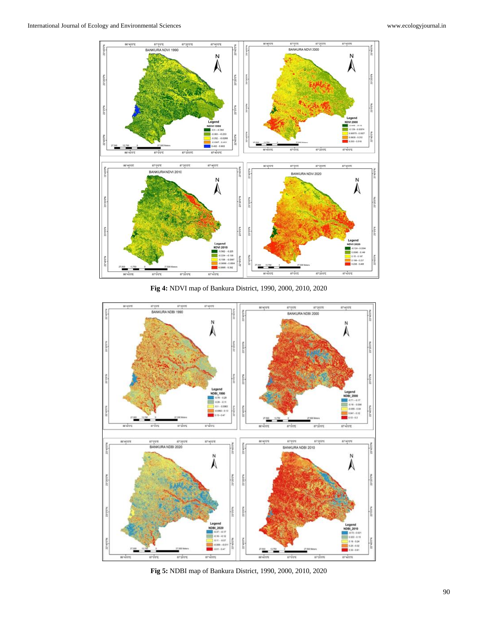

**Fig 4:** NDVI map of Bankura District, 1990, 2000, 2010, 2020



**Fig 5:** NDBI map of Bankura District, 1990, 2000, 2010, 2020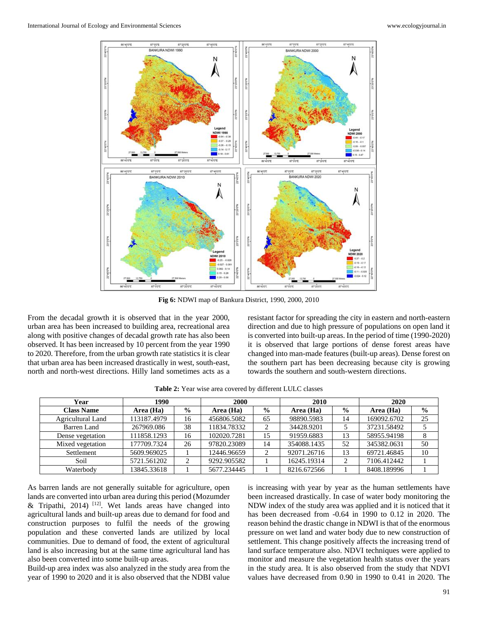

**Fig 6:** NDWI map of Bankura District, 1990, 2000, 2010

From the decadal growth it is observed that in the year 2000, urban area has been increased to building area, recreational area along with positive changes of decadal growth rate has also been observed. It has been increased by 10 percent from the year 1990 to 2020. Therefore, from the urban growth rate statistics it is clear that urban area has been increased drastically in west, south-east, north and north-west directions. Hilly land sometimes acts as a resistant factor for spreading the city in eastern and north-eastern direction and due to high pressure of populations on open land it is converted into built-up areas. In the period of time (1990-2020) it is observed that large portions of dense forest areas have changed into man-made features (built-up areas). Dense forest on the southern part has been decreasing because city is growing towards the southern and south-western directions.

| Year              | 1990        |               | <b>2000</b> |               | 2010        |                | 2020        |               |
|-------------------|-------------|---------------|-------------|---------------|-------------|----------------|-------------|---------------|
| <b>Class Name</b> | Area (Ha)   | $\frac{6}{9}$ | Area (Ha)   | $\frac{0}{0}$ | Area (Ha)   | $\frac{6}{10}$ | Area (Ha)   | $\frac{0}{0}$ |
| Agricultural Land | 113187.4979 | 16            | 456806.5082 | 65            | 98890.5983  | 14             | 169092.6702 | 25            |
| Barren Land       | 267969.086  | 38            | 11834.78332 |               | 34428.9201  |                | 37231.58492 |               |
| Dense vegetation  | 111858.1293 | 16            | 102020.7281 | 15            | 91959.6883  | 13             | 58955.94198 | 8             |
| Mixed vegetation  | 177709.7324 | 26            | 97820.23089 | 14            | 354088.1435 | 52             | 345382.0631 | 50            |
| Settlement        | 5609.969025 |               | 12446.96659 | ◠             | 92071.26716 | 13             | 69721.46845 | 10            |
| Soil              | 5721.561202 |               | 9292.905582 |               | 16245.19314 |                | 7106.412442 |               |
| Waterbody         | 13845.33618 |               | 5677.234445 |               | 8216.672566 |                | 8408.189996 |               |

**Table 2:** Year wise area covered by different LULC classes

As barren lands are not generally suitable for agriculture, open lands are converted into urban area during this period (Mozumder & Tripathi, 2014)<sup>[12]</sup>. Wet lands areas have changed into agricultural lands and built-up areas due to demand for food and construction purposes to fulfil the needs of the growing population and these converted lands are utilized by local communities. Due to demand of food, the extent of agricultural land is also increasing but at the same time agricultural land has also been converted into some built-up areas.

Build-up area index was also analyzed in the study area from the year of 1990 to 2020 and it is also observed that the NDBI value is increasing with year by year as the human settlements have been increased drastically. In case of water body monitoring the NDW index of the study area was applied and it is noticed that it has been decreased from -0.64 in 1990 to 0.12 in 2020. The reason behind the drastic change in NDWI is that of the enormous pressure on wet land and water body due to new construction of settlement. This change positively affects the increasing trend of land surface temperature also. NDVI techniques were applied to monitor and measure the vegetation health status over the years in the study area. It is also observed from the study that NDVI values have decreased from 0.90 in 1990 to 0.41 in 2020. The